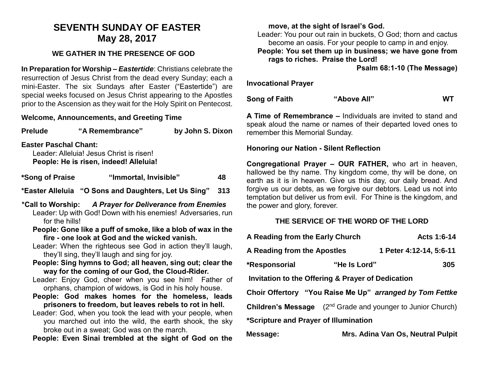# **SEVENTH SUNDAY OF EASTER May 28, 2017**

# **WE GATHER IN THE PRESENCE OF GOD**

**In Preparation for Worship –** *Eastertide*: Christians celebrate the resurrection of Jesus Christ from the dead every Sunday; each a mini-Easter. The six Sundays after Easter ("Eastertide") are special weeks focused on Jesus Christ appearing to the Apostles prior to the Ascension as they wait for the Holy Spirit on Pentecost.

## **Welcome, Announcements, and Greeting Time**

| <b>Prelude</b>                                                                                                                                                                                                                                             | "A Remembrance"                                      | by John S. Dixon |  |  |
|------------------------------------------------------------------------------------------------------------------------------------------------------------------------------------------------------------------------------------------------------------|------------------------------------------------------|------------------|--|--|
| <b>Easter Paschal Chant:</b><br>Leader: Alleluia! Jesus Christ is risen!<br>People: He is risen, indeed! Alleluia!                                                                                                                                         |                                                      |                  |  |  |
| *Song of Praise                                                                                                                                                                                                                                            | "Immortal, Invisible"                                | 48               |  |  |
|                                                                                                                                                                                                                                                            | *Easter Alleluia "O Sons and Daughters, Let Us Sing" | 313              |  |  |
| *Call to Worship: A Prayer for Deliverance from Enemies<br>Leader: Up with God! Down with his enemies! Adversaries, run<br>for the hills!<br>People: Gone like a puff of smoke, like a blob of wax in the<br>fire - one look at God and the wicked vanish. |                                                      |                  |  |  |
| Leader: When the righteous see God in action they'll laugh,<br>they'll sing, they'll laugh and sing for joy.                                                                                                                                               |                                                      |                  |  |  |
| People: Sing hymns to God; all heaven, sing out; clear the<br>way for the coming of our God, the Cloud-Rider.                                                                                                                                              |                                                      |                  |  |  |
| Leader: Enjoy God, cheer when you see him! Father of<br>orphans, champion of widows, is God in his holy house.<br>Deenla: Cad makes hamas far the hamalase, leads                                                                                          |                                                      |                  |  |  |

- **People: God makes homes for the homeless, leads prisoners to freedom, but leaves rebels to rot in hell.**
- Leader: God, when you took the lead with your people, when you marched out into the wild, the earth shook, the sky broke out in a sweat; God was on the march.

**People: Even Sinai trembled at the sight of God on the** 

### **move, at the sight of Israel's God.**

Leader: You pour out rain in buckets, O God; thorn and cactus become an oasis. For your people to camp in and enjoy. **People: You set them up in business; we have gone from rags to riches. Praise the Lord!**

**Psalm 68:1-10 (The Message)**

**Invocational Prayer**

**Song of Faith "Above All" WT**

**A Time of Remembrance –** Individuals are invited to stand and speak aloud the name or names of their departed loved ones to remember this Memorial Sunday.

#### **Honoring our Nation - Silent Reflection**

**Congregational Prayer – OUR FATHER,** who art in heaven, hallowed be thy name. Thy kingdom come, thy will be done, on earth as it is in heaven. Give us this day, our daily bread. And forgive us our debts, as we forgive our debtors. Lead us not into temptation but deliver us from evil. For Thine is the kingdom, and the power and glory, forever.

### **THE SERVICE OF THE WORD OF THE LORD**

| A Reading from the Early Church                   |              | Acts 1:6-14                                                                    |  |  |
|---------------------------------------------------|--------------|--------------------------------------------------------------------------------|--|--|
| A Reading from the Apostles                       |              | 1 Peter 4:12-14, 5:6-11                                                        |  |  |
| *Responsorial                                     | "He Is Lord" | 305                                                                            |  |  |
| Invitation to the Offering & Prayer of Dedication |              |                                                                                |  |  |
|                                                   |              | Choir Offertory "You Raise Me Up" arranged by Tom Fettke                       |  |  |
|                                                   |              | <b>Children's Message</b> (2 <sup>nd</sup> Grade and younger to Junior Church) |  |  |
| *Scripture and Prayer of Illumination             |              |                                                                                |  |  |
| Message:                                          |              | Mrs. Adina Van Os, Neutral Pulpit                                              |  |  |